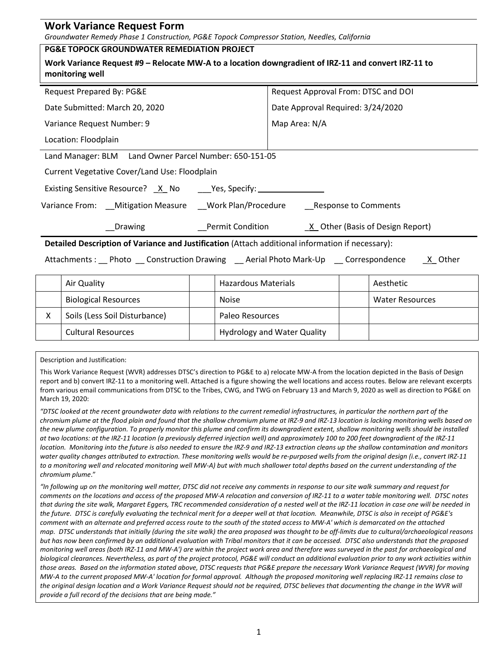| <b>Work Variance Request Form</b>                                                                                      |                                     |  |  |  |  |  |  |
|------------------------------------------------------------------------------------------------------------------------|-------------------------------------|--|--|--|--|--|--|
| Groundwater Remedy Phase 1 Construction, PG&E Topock Compressor Station, Needles, California                           |                                     |  |  |  |  |  |  |
| <b>PG&amp;E TOPOCK GROUNDWATER REMEDIATION PROJECT</b>                                                                 |                                     |  |  |  |  |  |  |
| Work Variance Request #9 - Relocate MW-A to a location downgradient of IRZ-11 and convert IRZ-11 to<br>monitoring well |                                     |  |  |  |  |  |  |
| Request Prepared By: PG&E                                                                                              | Request Approval From: DTSC and DOI |  |  |  |  |  |  |
| Date Submitted: March 20, 2020                                                                                         | Date Approval Required: 3/24/2020   |  |  |  |  |  |  |
| Variance Request Number: 9                                                                                             | Map Area: N/A                       |  |  |  |  |  |  |
| Location: Floodplain                                                                                                   |                                     |  |  |  |  |  |  |
| Land Manager: BLM Land Owner Parcel Number: 650-151-05                                                                 |                                     |  |  |  |  |  |  |
| Current Vegetative Cover/Land Use: Floodplain                                                                          |                                     |  |  |  |  |  |  |
| Existing Sensitive Resource? X No Yes, Specify: ____________                                                           |                                     |  |  |  |  |  |  |
| Variance From: __Mitigation Measure ___Work Plan/Procedure _________Response to Comments                               |                                     |  |  |  |  |  |  |
| Permit Condition<br>Drawing                                                                                            | X Other (Basis of Design Report)    |  |  |  |  |  |  |
| Detailed Description of Variance and Justification (Attach additional information if necessary):                       |                                     |  |  |  |  |  |  |

Attachments : \_\_ Photo \_\_ Construction Drawing \_\_ Aerial Photo Mark-Up \_\_ Correspondence \_\_ X\_ Other

| Air Quality                   | <b>Hazardous Materials</b>         |  | Aesthetic              |
|-------------------------------|------------------------------------|--|------------------------|
| <b>Biological Resources</b>   | <b>Noise</b>                       |  | <b>Water Resources</b> |
| Soils (Less Soil Disturbance) | Paleo Resources                    |  |                        |
| <b>Cultural Resources</b>     | <b>Hydrology and Water Quality</b> |  |                        |

Description and Justification:

This Work Variance Request (WVR) addresses DTSC's direction to PG&E to a) relocate MW-A from the location depicted in the Basis of Design report and b) convert IRZ-11 to a monitoring well. Attached is a figure showing the well locations and access routes. Below are relevant excerpts from various email communications from DTSC to the Tribes, CWG, and TWG on February 13 and March 9, 2020 as well as direction to PG&E on March 19, 2020:

*"DTSC looked at the recent groundwater data with relations to the current remedial infrastructures, in particular the northern part of the chromium plume at the flood plain and found that the shallow chromium plume at IRZ-9 and IRZ-13 location is lacking monitoring wells based on the new plume configuration. To properly monitor this plume and confirm its downgradient extent, shallow monitoring wells should be installed at two locations: at the IRZ-11 location (a previously deferred injection well) and approximately 100 to 200 feet downgradient of the IRZ-11 location. Monitoring into the future is also needed to ensure the IRZ-9 and IRZ-13 extraction cleans up the shallow contamination and monitors*  water quality changes attributed to extraction. These monitoring wells would be re-purposed wells from the original design (i.e., convert IRZ-11 *to a monitoring well and relocated monitoring well MW-A) but with much shallower total depths based on the current understanding of the chromium plume*."

*"In following up on the monitoring well matter, DTSC did not receive any comments in response to our site walk summary and request for comments on the locations and access of the proposed MW-A relocation and conversion of IRZ-11 to a water table monitoring well. DTSC notes that during the site walk, Margaret Eggers, TRC recommended consideration of a nested well at the IRZ-11 location in case one will be needed in the future. DTSC is carefully evaluating the technical merit for a deeper well at that location. Meanwhile, DTSC is also in receipt of PG&E's comment with an alternate and preferred access route to the south of the stated access to MW-A' which is demarcated on the attached map. DTSC understands that initially (during the site walk) the area proposed was thought to be off-limits due to cultural/archaeological reasons but has now been confirmed by an additional evaluation with Tribal monitors that it can be accessed. DTSC also understands that the proposed monitoring well areas (both IRZ-11 and MW-A') are within the project work area and therefore was surveyed in the past for archaeological and biological clearances. Nevertheless, as part of the project protocol, PG&E will conduct an additional evaluation prior to any work activities within those areas. Based on the information stated above, DTSC requests that PG&E prepare the necessary Work Variance Request (WVR) for moving MW-A to the current proposed MW-A' location for formal approval. Although the proposed monitoring well replacing IRZ-11 remains close to the original design location and a Work Variance Request should not be required, DTSC believes that documenting the change in the WVR will provide a full record of the decisions that are being made."*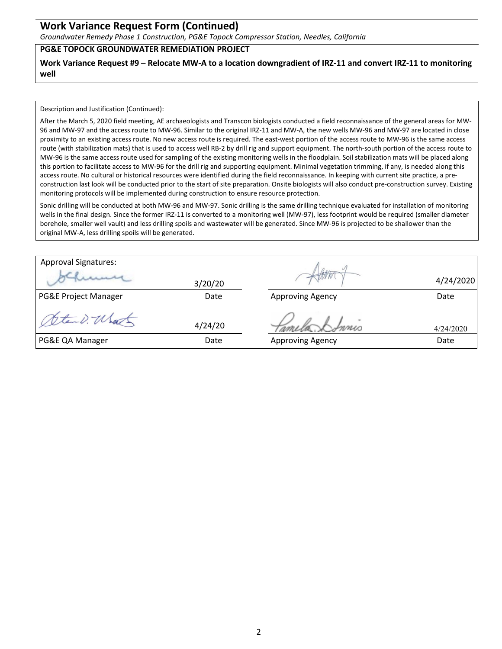## **Work Variance Request Form (Continued)**

*Groundwater Remedy Phase 1 Construction, PG&E Topock Compressor Station, Needles, California*

## **PG&E TOPOCK GROUNDWATER REMEDIATION PROJECT**

**Work Variance Request #9 – Relocate MW-A to a location downgradient of IRZ-11 and convert IRZ-11 to monitoring well**

Description and Justification (Continued):

After the March 5, 2020 field meeting, AE archaeologists and Transcon biologists conducted a field reconnaissance of the general areas for MW-96 and MW-97 and the access route to MW-96. Similar to the original IRZ-11 and MW-A, the new wells MW-96 and MW-97 are located in close proximity to an existing access route. No new access route is required. The east-west portion of the access route to MW-96 is the same access route (with stabilization mats) that is used to access well RB-2 by drill rig and support equipment. The north-south portion of the access route to MW-96 is the same access route used for sampling of the existing monitoring wells in the floodplain. Soil stabilization mats will be placed along this portion to facilitate access to MW-96 for the drill rig and supporting equipment. Minimal vegetation trimming, if any, is needed along this access route. No cultural or historical resources were identified during the field reconnaissance. In keeping with current site practice, a preconstruction last look will be conducted prior to the start of site preparation. Onsite biologists will also conduct pre-construction survey. Existing monitoring protocols will be implemented during construction to ensure resource protection.

Sonic drilling will be conducted at both MW-96 and MW-97. Sonic drilling is the same drilling technique evaluated for installation of monitoring wells in the final design. Since the former IRZ-11 is converted to a monitoring well (MW-97), less footprint would be required (smaller diameter borehole, smaller well vault) and less drilling spoils and wastewater will be generated. Since MW-96 is projected to be shallower than the original MW-A, less drilling spoils will be generated.

| <b>Approval Signatures:</b>     |         |                         |           |
|---------------------------------|---------|-------------------------|-----------|
|                                 | 3/20/20 |                         | 4/24/2020 |
| <b>PG&amp;E Project Manager</b> | Date    | <b>Approving Agency</b> | Date      |
| temp. Ul                        | 4/24/20 | Innis                   | 4/24/2020 |
| PG&E QA Manager                 | Date    | <b>Approving Agency</b> | Date      |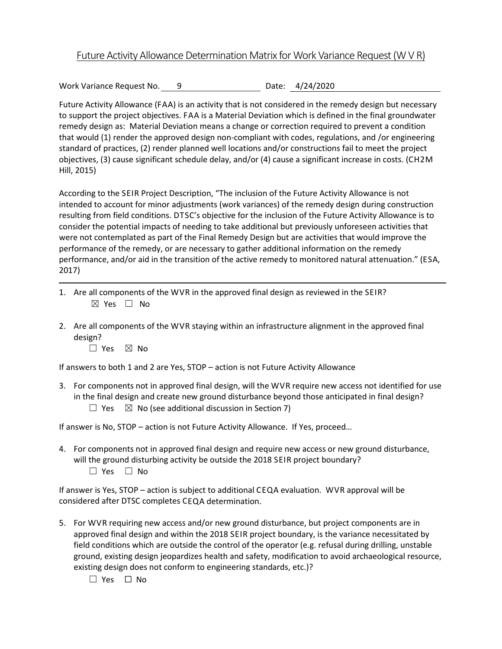## Future Activity Allowance Determination Matrix for Work Variance Request (W V R)

Work Variance Request No. 9 Date: 4/24/2020

Future Activity Allowance (FAA) is an activity that is not considered in the remedy design but necessary to support the project objectives. FAA is a Material Deviation which is defined in the final groundwater remedy design as: Material Deviation means a change or correction required to prevent a condition that would (1) render the approved design non-compliant with codes, regulations, and /or engineering standard of practices, (2) render planned well locations and/or constructions fail to meet the project objectives, (3) cause significant schedule delay, and/or (4) cause a significant increase in costs. (CH2M Hill, 2015)

According to the SEIR Project Description, "The inclusion of the Future Activity Allowance is not intended to account for minor adjustments (work variances) of the remedy design during construction resulting from field conditions. DTSC's objective for the inclusion of the Future Activity Allowance is to consider the potential impacts of needing to take additional but previously unforeseen activities that were not contemplated as part of the Final Remedy Design but are activities that would improve the performance of the remedy, or are necessary to gather additional information on the remedy performance, and/or aid in the transition of the active remedy to monitored natural attenuation." (ESA, 2017)

- 1. Are all components of the WVR in the approved final design as reviewed in the SEIR? ☒ Yes ☐ No
- 2. Are all components of the WVR staying within an infrastructure alignment in the approved final design?
	- $\Box$  Yes  $\boxtimes$  No

If answers to both 1 and 2 are Yes, STOP – action is not Future Activity Allowance

3. For components not in approved final design, will the WVR require new access not identified for use in the final design and create new ground disturbance beyond those anticipated in final design?  $\Box$  Yes  $\boxtimes$  No (see additional discussion in Section 7)

If answer is No, STOP – action is not Future Activity Allowance. If Yes, proceed…

4. For components not in approved final design and require new access or new ground disturbance, will the ground disturbing activity be outside the 2018 SEIR project boundary? ☐ Yes ☐ No

If answer is Yes, STOP – action is subject to additional CEQA evaluation. WVR approval will be considered after DTSC completes CEQA determination.

- 5. For WVR requiring new access and/or new ground disturbance, but project components are in approved final design and within the 2018 SEIR project boundary, is the variance necessitated by field conditions which are outside the control of the operator (e.g. refusal during drilling, unstable ground, existing design jeopardizes health and safety, modification to avoid archaeological resource, existing design does not conform to engineering standards, etc.)?
	- ☐ Yes ☐ No